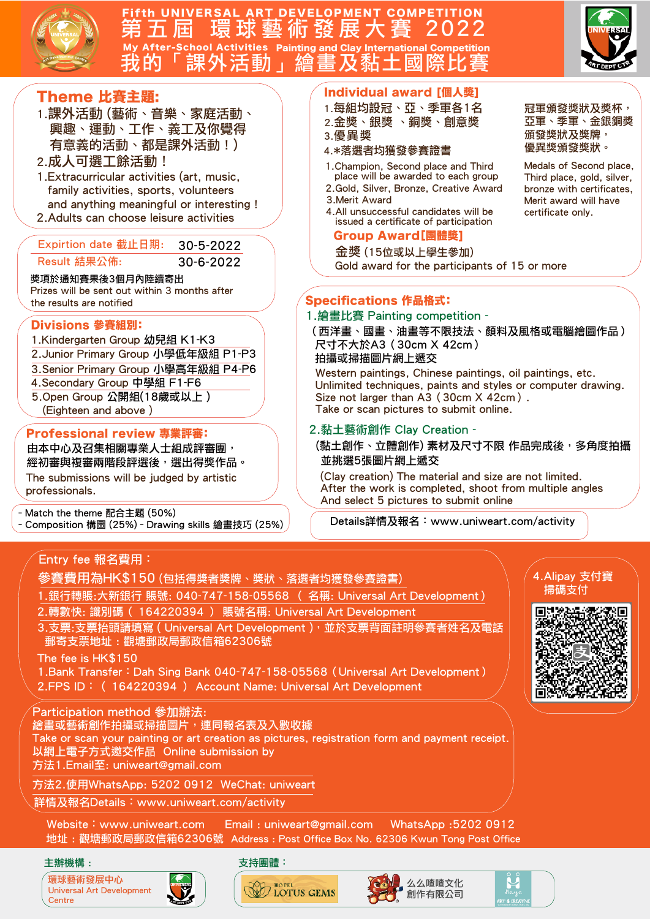

### Fifth UNIVERSAL ART DEVELOPMENT COMPETITION<br>第五屆 環球藝術發展大賽 2022 ol Activities Painting



獎項於通知賽果後3個月內陸續寄出 Professional review 專業評審: 由本中心及召集相關專業人士組成評審團, 經初審與複審兩階段評選後,選出得獎作品。 Divisions 參賽組別: 1.Kindergarten Group 幼兒組 K1-K3 2.Junior Primary Group 小學低年級組 P1-P3 3.Senior Primary Group 小學高年級組 P4-P6 4.Secondary Group 中學組 F1-F6 5.Open Group 公開組(18歲或以上 ) (Eighteen and above ) Specifications 作品格式: 1.繪畫比賽 Painting competition - 並挑選5張圖片網上遞交 –Match the theme 配合主題 (50%) –Composition 構圖 (25%)–Drawing skills 繪畫技巧 (25%) Entry fee 報名費用: 參賽費用為HK\$150 (包括得獎者獎牌、獎狀、落選者均獲發參賽證書) 3.支票:支票抬頭請填寫 ( Universal Art Development ), 並於支票背面註明參賽者姓名及雷話 郵寄支票地址 : 觀塘郵政局郵政信箱62306號 1.銀行轉賬:大新銀行 賬號: 040-747-158-05568 ( 名稱: Universal Art Development) 2.轉數快: 識別碼( 164220394 ) 賬號名稱: Universal Art Development 4.Alipay 支付寶 掃碼支付 ‧活動」繪畫及黏土國 Gold award for the participants of 15 or more 冠軍頒發獎狀及獎杯, 頒發獎狀及獎牌, 優異獎頒發獎狀。 Individual award [個人獎] 1.每組均設冠、亞、季軍各1名 2.金獎、銀獎 、銅獎、創意獎 4.\*落選者均獲發參賽證書 3.優異獎 2.Gold, Silver, Bronze, Creative Award 3.Merit Award 4.All unsuccessful candidates will be issued a certificate of participation 1.Champion, Second place and Third place will be awarded to each group Group Award[團體獎] Theme 比賽主題: 1.課外活動 (藝術、音樂、家庭活動、 興趣、運動、工作、義工及你覺得 有意義的活動、都是課外活動 ! ) 2.成人可選工餘活動! Expirtion date 截止日期: 30-5-2022 Result 結果公佈: 30-6-2022 certificate only. Prizes will be sent out within 3 months after the results are notified 2.黏土藝術創作 Clay Creation - 尺寸不大於A3(30cm X 42cm) 拍攝或掃描圖片網上遞交 Western paintings, Chinese paintings, oil paintings, etc. Size not larger than A3 (30cm X 42cm). Take or scan pictures to submit online. (Clay creation) The material and size are not limited. After the work is completed, shoot from multiple angles And select 5 pictures to submit online The submissions will be judged by artistic professionals. The fee is HK\$150 Details詳情及報名:www.uniweart.com/activity 1.Extracurricular activities (art, music, family activities, sports, volunteers and anything meaningful or interesting ! 2.Adults can choose leisure activities 金獎 (15位或以上學生參加)

1.Bank Transfer:Dah Sing Bank 040-747-158-05568(Universal Art Development) 2.FPS ID:( 164220394 ) Account Name: Universal Art Development

#### Participation method 參加辦法:

繪畫或藝術創作拍攝或掃描圖片,連同報名表及入數收據

Take or scan your painting or art creation as pictures, registration form and payment receipt. 以網上電子方式邀交作品 Online submission by

方法1.Email至: uniweart@gmail.com

方法2.使用WhatsApp: 5202 0912 WeChat: uniweart

詳情及報名Details:www.uniweart.com/activity

Website:www.uniweart.com Email : uniweart@gmail.com WhatsApp :5202 0912 地址 : 觀塘郵政局郵政信箱62306號 Address : Post Office Box No. 62306 Kwun Tong Post Office

#### 主辦機構 :

 $\setminus$ 





#### 支持團體:







# 亞軍、季軍、金銀銅獎

Medals of Second place, Third place, gold, silver, bronze with certificates, Merit award will have

(西洋畫、國畫、油畫等不限技法、顏料及風格或電腦繪圖作品)

Unlimited techniques, paints and styles or computer drawing.

(黏土創作、立體創作) 素材及尺寸不限 作品完成後,多角度拍攝